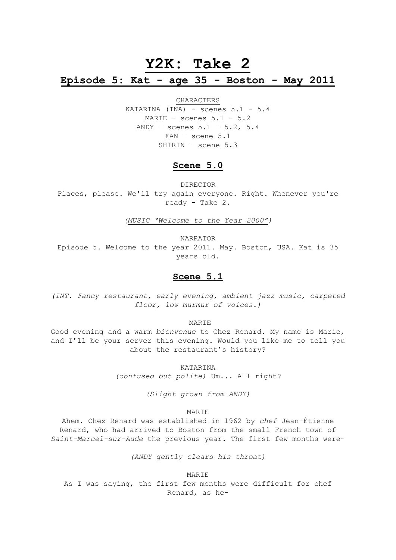# **Y2K: Take 2**

## **Episode 5: Kat - age 35 - Boston - May 2011**

CHARACTERS

KATARINA (INA) - scenes  $5.1 - 5.4$ MARIE - scenes  $5.1 - 5.2$ ANDY – scenes 5.1 – 5.2, 5.4 FAN – scene 5.1 SHIRIN – scene 5.3

## **Scene 5.0**

DIRECTOR Places, please. We'll try again everyone. Right. Whenever you're ready - Take 2.

*(MUSIC "Welcome to the Year 2000")*

NARRATOR

Episode 5. Welcome to the year 2011. May. Boston, USA. Kat is 35 years old.

## **Scene 5.1**

*(INT. Fancy restaurant, early evening, ambient jazz music, carpeted floor, low murmur of voices.)*

MARIE

Good evening and a warm *bienvenue* to Chez Renard. My name is Marie, and I'll be your server this evening. Would you like me to tell you about the restaurant's history?

KATARINA

*(confused but polite)* Um... All right?

*(Slight groan from ANDY)*

MARIE

Ahem. Chez Renard was established in 1962 by *chef* Jean-Étienne Renard, who had arrived to Boston from the small French town of *Saint-Marcel-sur-Aude* the previous year. The first few months were-

*(ANDY gently clears his throat)*

MARIE

As I was saying, the first few months were difficult for chef Renard, as he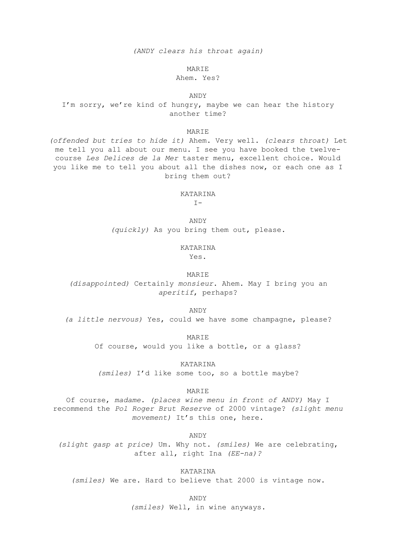*(ANDY clears his throat again)*

#### MARIE

## Ahem. Yes?

ANDY

I'm sorry, we're kind of hungry, maybe we can hear the history another time?

**MARTE** 

*(offended but tries to hide it)* Ahem. Very well. *(clears throat)* Let me tell you all about our menu. I see you have booked the twelvecourse *Les Delices de la Mer* taster menu, excellent choice. Would you like me to tell you about all the dishes now, or each one as I bring them out?

#### KATARINA

 $I-$ 

ANDY *(quickly)* As you bring them out, please.

## KATARINA

Yes.

#### MARIE

*(disappointed)* Certainly *monsieur*. Ahem. May I bring you an *aperitif*, perhaps?

ANDY

*(a little nervous)* Yes, could we have some champagne, please?

MARIE

Of course, would you like a bottle, or a glass?

KATARINA

*(smiles)* I'd like some too, so a bottle maybe?

MARTE.

Of course, *madame*. *(places wine menu in front of ANDY)* May I recommend the *Pol Roger Brut Reserve* of 2000 vintage? *(slight menu movement)* It's this one, here.

ANDY

*(slight gasp at price)* Um. Why not. *(smiles)* We are celebrating, after all, right Ina *(EE-na)?*

KATARINA *(smiles)* We are. Hard to believe that 2000 is vintage now.

ANDY

*(smiles)* Well, in wine anyways.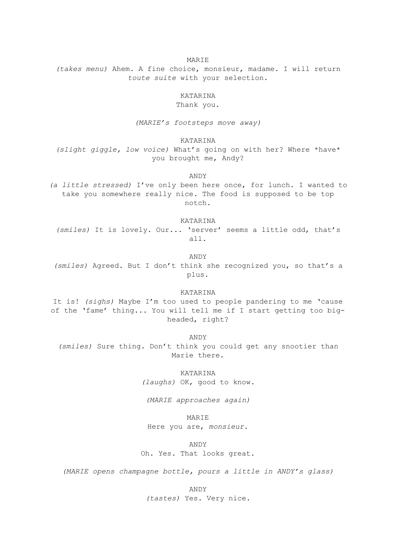MARIE

*(takes menu)* Ahem. A fine choice, monsieur, madame. I will return *toute suite* with your selection.

#### KATARINA

Thank you.

*(MARIE's footsteps move away)*

#### KATARINA

*(slight giggle, low voice)* What's going on with her? Where \*have\* you brought me, Andy?

#### ANDY

*(a little stressed)* I've only been here once, for lunch. I wanted to take you somewhere really nice. The food is supposed to be top notch.

KATARINA

*(smiles)* It is lovely. Our... 'server' seems a little odd, that's all.

ANDY

*(smiles)* Agreed. But I don't think she recognized you, so that's a plus.

#### KATARINA

It is! *(sighs)* Maybe I'm too used to people pandering to me 'cause of the 'fame' thing... You will tell me if I start getting too bigheaded, right?

ANDY

*(smiles)* Sure thing. Don't think you could get any snootier than Marie there.

> KATARINA *(laughs)* OK, good to know.

*(MARIE approaches again)*

MARIE

Here you are, *monsieur*.

ANDY Oh. Yes. That looks great.

*(MARIE opens champagne bottle, pours a little in ANDY's glass)*

ANDY *(tastes)* Yes. Very nice.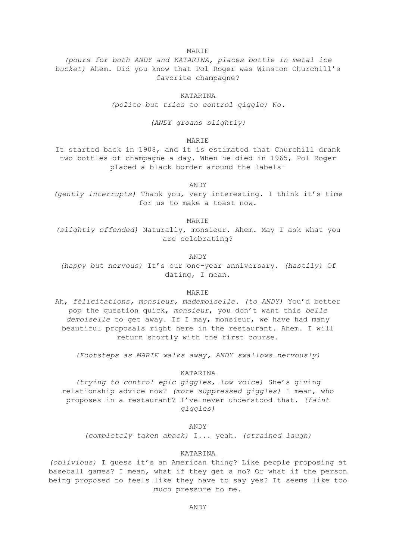#### **MARTE**

*(pours for both ANDY and KATARINA, places bottle in metal ice bucket)* Ahem. Did you know that Pol Roger was Winston Churchill's favorite champagne?

#### KATARINA

*(polite but tries to control giggle)* No.

*(ANDY groans slightly)*

#### MARIE

It started back in 1908, and it is estimated that Churchill drank two bottles of champagne a day. When he died in 1965, Pol Roger placed a black border around the labels-

#### ANDY

*(gently interrupts)* Thank you, very interesting. I think it's time for us to make a toast now.

MARIE

*(slightly offended)* Naturally, monsieur. Ahem. May I ask what you are celebrating?

ANDY

*(happy but nervous)* It's our one-year anniversary. *(hastily)* Of dating, I mean.

#### MARIE

Ah, *félicitations, monsieur, mademoiselle*. *(to ANDY)* You'd better pop the question quick, *monsieur*, you don't want this *belle demoiselle* to get away. If I may, monsieur, we have had many beautiful proposals right here in the restaurant. Ahem. I will return shortly with the first course.

*(Footsteps as MARIE walks away, ANDY swallows nervously)*

#### KATARINA

*(trying to control epic giggles, low voice)* She's giving relationship advice now? *(more suppressed giggles)* I mean, who proposes in a restaurant? I've never understood that. *(faint giggles)*

ANDY

*(completely taken aback)* I... yeah. *(strained laugh)*

#### KATARINA

*(oblivious)* I guess it's an American thing? Like people proposing at baseball games? I mean, what if they get a no? Or what if the person being proposed to feels like they have to say yes? It seems like too much pressure to me.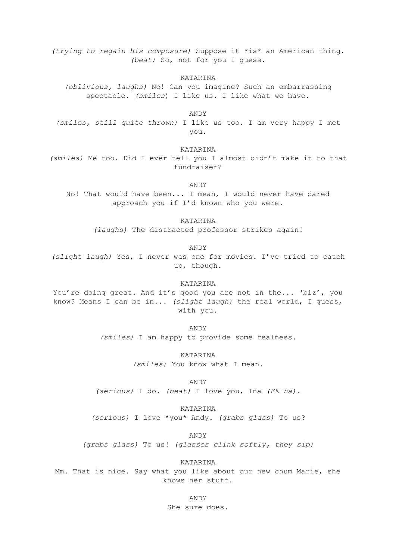*(trying to regain his composure)* Suppose it \*is\* an American thing. *(beat)* So, not for you I guess.

KATARINA

*(oblivious, laughs)* No! Can you imagine? Such an embarrassing spectacle. *(smiles*) I like us. I like what we have.

ANDY

*(smiles, still quite thrown)* I like us too. I am very happy I met you.

#### KATARINA

*(smiles)* Me too. Did I ever tell you I almost didn't make it to that fundraiser?

ANDY

No! That would have been... I mean, I would never have dared approach you if I'd known who you were.

KATARINA

*(laughs)* The distracted professor strikes again!

ANDY

*(slight laugh)* Yes, I never was one for movies. I've tried to catch up, though.

#### KATARINA

You're doing great. And it's good you are not in the... 'biz', you know? Means I can be in... *(slight laugh)* the real world, I guess, with you.

> ANDY *(smiles)* I am happy to provide some realness.

> > KATARINA *(smiles)* You know what I mean.

ANDY *(serious)* I do. *(beat)* I love you, Ina *(EE-na)*.

KATARINA *(serious)* I love \*you\* Andy. *(grabs glass)* To us?

ANDY *(grabs glass)* To us! *(glasses clink softly, they sip)*

KATARINA Mm. That is nice. Say what you like about our new chum Marie, she knows her stuff.

> ANDY She sure does.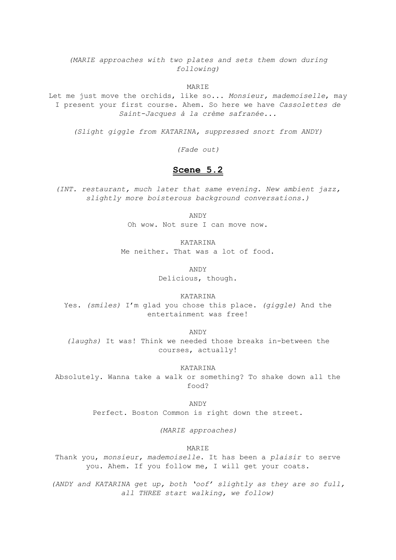*(MARIE approaches with two plates and sets them down during following)*

**MARTE** 

Let me just move the orchids, like so... *Monsieur, mademoiselle*, may I present your first course. Ahem. So here we have *Cassolettes de Saint-Jacques à la crème safranée...*

*(Slight giggle from KATARINA, suppressed snort from ANDY)*

*(Fade out)*

## **Scene 5.2**

*(INT. restaurant, much later that same evening. New ambient jazz, slightly more boisterous background conversations.)*

> ANDY Oh wow. Not sure I can move now.

> > KATARINA

Me neither. That was a lot of food.

ANDY

Delicious, though.

KATARINA

Yes. *(smiles)* I'm glad you chose this place. *(giggle)* And the entertainment was free!

ANDY *(laughs)* It was! Think we needed those breaks in-between the courses, actually!

KATARINA Absolutely. Wanna take a walk or something? To shake down all the food?

> ANDY Perfect. Boston Common is right down the street.

> > *(MARIE approaches)*

MARIE

Thank you, *monsieur, mademoiselle*. It has been a *plaisir* to serve you. Ahem. If you follow me, I will get your coats.

*(ANDY and KATARINA get up, both 'oof' slightly as they are so full, all THREE start walking, we follow)*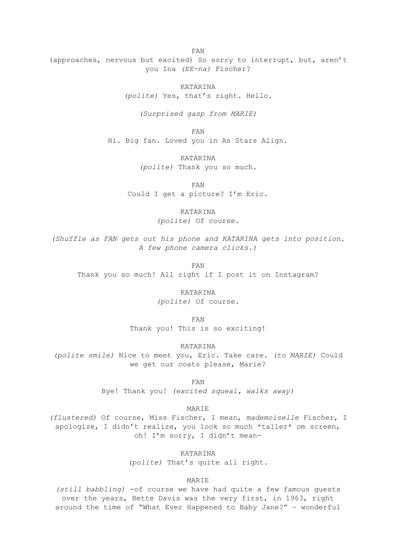(approaches, nervous but excited) So sorry to interrupt, but, aren't you Ina *(EE-na)* Fischer?

> KATARINA *(polite)* Yes, that's right. Hello.

*(Surprised gasp from MARIE)*

FAN Hi. Big fan. Loved you in As Stars Align.

> KATARINA *(polite)* Thank you so much.

FAN Could I get a picture? I'm Eric.

KATARINA

*(polite)* Of course.

*(Shuffle as FAN gets out his phone and KATARINA gets into position. A few phone camera clicks.)*

FAN Thank you so much! All right if I post it on Instagram?

> KATARINA *(polite)* Of course.

> > FAN

Thank you! This is so exciting!

KATARINA

*(polite smile)* Nice to meet you, Eric. Take care. *(to MARIE)* Could we get our coats please, Marie?

> FAN Bye! Thank you! *(excited squeal, walks away)*

> > **MARTE**

*(flustered)* Of course, Miss Fischer, I mean, *mademoiselle* Fischer, I apologize, I didn't realize, you look so much \*taller\* om screen, oh! I'm sorry, I didn't mean-

KATARINA

*(polite)* That's quite all right.

**MARTE** 

*(still babbling)* -of course we have had quite a few famous guests over the years, Bette Davis was the very first, in 1963, right around the time of "What Ever Happened to Baby Jane?" – wonderful

FAN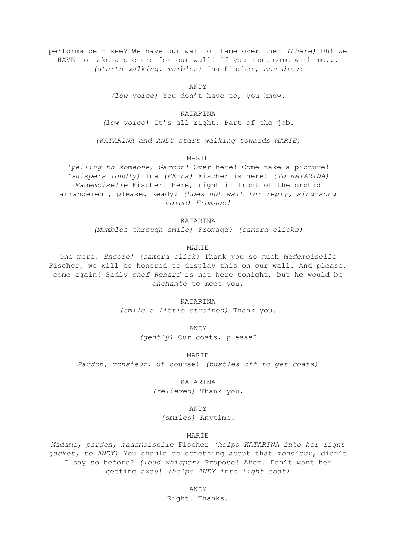performance - see? We have our wall of fame over the- *(there)* Oh! We HAVE to take a picture for our wall! If you just come with me... *(starts walking, mumbles)* Ina Fischer, *mon dieu!*

ANDY

*(low voice)* You don't have to, you know.

KATARINA *(low voice)* It's all right. Part of the job.

*(KATARINA and ANDY start walking towards MARIE)*

MARIE

*(yelling to someone) Garçon!* Over here! Come take a picture! *(whispers loudly)* Ina *(EE-na)* Fischer is here! *(To KATARINA) Mademoiselle* Fischer! Here, right in front of the orchid arrangement, please. Ready? *(Does not wait for reply, sing-song voice) Fromage!*

KATARINA

*(Mumbles through smile)* Fromage? *(camera clicks)*

**MARTE** 

One more! *Encore! (camera click)* Thank you so much *Mademoiselle* Fischer, we will be honored to display this on our wall. And please, come again! Sadly *chef Renard* is not here tonight, but he would be *enchanté* to meet you.

> KATARINA *(smile a little strained)* Thank you.

> > ANDY *(gently)* Our coats, please?

> > > MARIE

*Pardon, monsieur*, of course! *(bustles off to get coats)*

KATARINA

*(relieved)* Thank you.

ANDY *(smiles)* Anytime.

MARTE.

*Madame, pardon, mademoiselle* Fischer *(helps KATARINA into her light jacket, to ANDY)* You should do something about that *monsieur*, didn't I say so before? *(loud whisper)* Propose! Ahem. Don't want her getting away! *(helps ANDY into light coat)*

> ANDY Right. Thanks.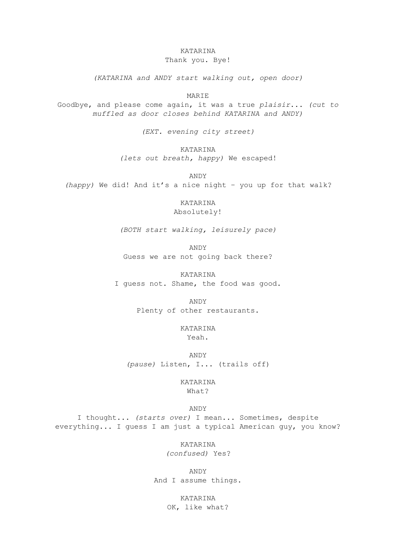Thank you. Bye!

*(KATARINA and ANDY start walking out, open door)*

MARIE

Goodbye, and please come again, it was a true *plaisir*... *(cut to muffled as door closes behind KATARINA and ANDY)*

*(EXT. evening city street)*

KATARINA

*(lets out breath, happy)* We escaped!

ANDY

*(happy)* We did! And it's a nice night – you up for that walk?

KATARINA Absolutely!

*(BOTH start walking, leisurely pace)*

ANDY Guess we are not going back there?

KATARINA I guess not. Shame, the food was good.

> ANDY Plenty of other restaurants.

#### KATARINA Yeah.

ANDY *(pause)* Listen, I... (trails off)

> KATARINA  $W<sub>h</sub> + 2$

> > ANDY

I thought... *(starts over)* I mean... Sometimes, despite everything... I guess I am just a typical American guy, you know?

> KATARINA *(confused)* Yes?

ANDY And I assume things.

> KATARINA OK, like what?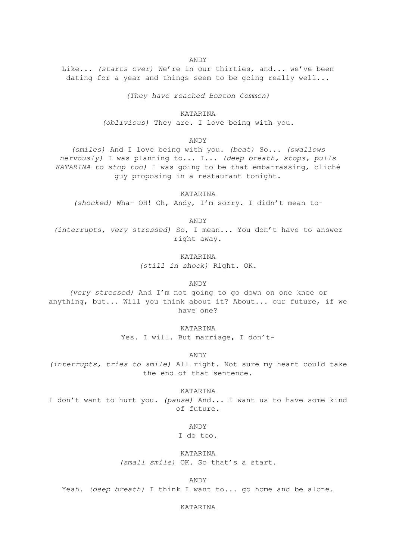ANDY

Like... *(starts over)* We're in our thirties, and... we've been dating for a year and things seem to be going really well...

*(They have reached Boston Common)*

KATARINA

*(oblivious)* They are. I love being with you.

ANDY

*(smiles)* And I love being with you. *(beat)* So... *(swallows nervously)* I was planning to... I... *(deep breath, stops, pulls KATARINA to stop too)* I was going to be that embarrassing, cliché guy proposing in a restaurant tonight.

KATARINA

*(shocked)* Wha- OH! Oh, Andy, I'm sorry. I didn't mean to-

ANDY

*(interrupts, very stressed)* So, I mean... You don't have to answer right away.

> KATARINA *(still in shock)* Right. OK.

> > ANDY

*(very stressed)* And I'm not going to go down on one knee or anything, but... Will you think about it? About... our future, if we have one?

KATARINA

Yes. I will. But marriage, I don't-

ANDY

*(interrupts, tries to smile)* All right. Not sure my heart could take the end of that sentence.

KATARINA

I don't want to hurt you. *(pause)* And... I want us to have some kind of future.

ANDY

I do too.

KATARINA *(small smile)* OK. So that's a start.

ANDY

Yeah. *(deep breath)* I think I want to... go home and be alone.

#### KATARINA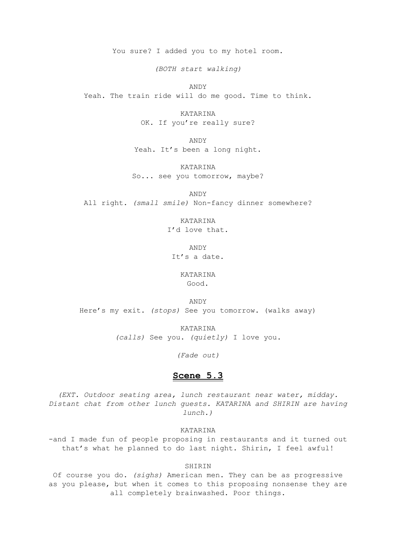You sure? I added you to my hotel room.

*(BOTH start walking)*

ANDY Yeah. The train ride will do me good. Time to think.

> KATARINA OK. If you're really sure?

ANDY Yeah. It's been a long night.

KATARINA

So... see you tomorrow, maybe?

ANDY All right. *(small smile)* Non-fancy dinner somewhere?

> KATARINA I'd love that.

ANDY It's a date.

> KATARINA Good.

ANDY Here's my exit. *(stops)* See you tomorrow. (walks away)

> KATARINA *(calls)* See you. *(quietly)* I love you.

> > *(Fade out)*

## **Scene 5.3**

*(EXT. Outdoor seating area, lunch restaurant near water, midday. Distant chat from other lunch guests. KATARINA and SHIRIN are having lunch.)*

KATARINA

-and I made fun of people proposing in restaurants and it turned out that's what he planned to do last night. Shirin, I feel awful!

SHIRIN

Of course you do. *(sighs)* American men. They can be as progressive as you please, but when it comes to this proposing nonsense they are all completely brainwashed. Poor things.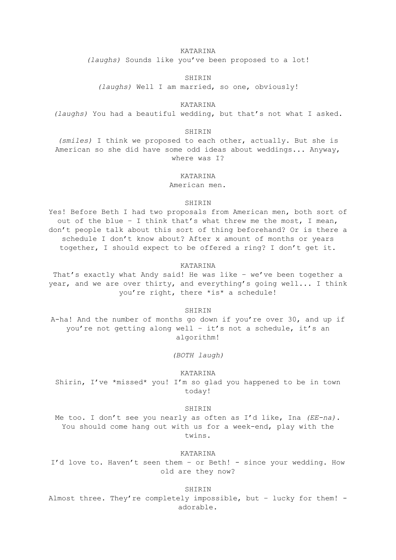*(laughs)* Sounds like you've been proposed to a lot!

SHIRIN

*(laughs)* Well I am married, so one, obviously!

KATARINA

*(laughs)* You had a beautiful wedding, but that's not what I asked.

SHIRIN

*(smiles)* I think we proposed to each other, actually. But she is American so she did have some odd ideas about weddings... Anyway, where was I?

#### KATARINA

American men.

#### SHIRIN

Yes! Before Beth I had two proposals from American men, both sort of out of the blue - I think that's what threw me the most, I mean, don't people talk about this sort of thing beforehand? Or is there a schedule I don't know about? After x amount of months or years together, I should expect to be offered a ring? I don't get it.

#### KATARINA

That's exactly what Andy said! He was like – we've been together a year, and we are over thirty, and everything's going well... I think you're right, there \*is\* a schedule!

SHIRIN

A-ha! And the number of months go down if you're over 30, and up if you're not getting along well – it's not a schedule, it's an algorithm!

*(BOTH laugh)*

KATARINA

Shirin, I've \*missed\* you! I'm so glad you happened to be in town today!

**SHIRIN** 

Me too. I don't see you nearly as often as I'd like, Ina *(EE-na)*. You should come hang out with us for a week-end, play with the twins.

KATARINA

I'd love to. Haven't seen them - or Beth! - since your wedding. How old are they now?

SHIRIN

Almost three. They're completely impossible, but – lucky for them! adorable.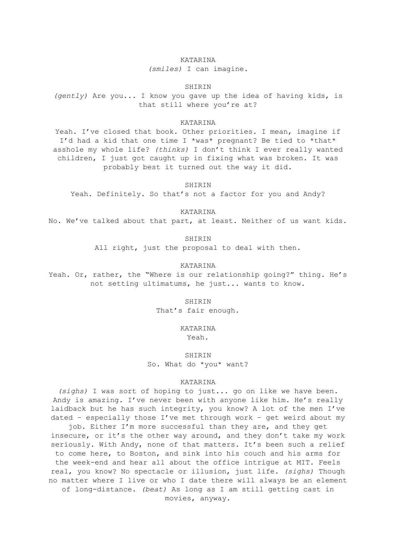*(smiles)* I can imagine.

SHIRIN

*(gently)* Are you... I know you gave up the idea of having kids, is that still where you're at?

#### KATARINA

Yeah. I've closed that book. Other priorities. I mean, imagine if I'd had a kid that one time I \*was\* pregnant? Be tied to \*that\* asshole my whole life? *(thinks)* I don't think I ever really wanted children, I just got caught up in fixing what was broken. It was probably best it turned out the way it did.

SHIRIN

Yeah. Definitely. So that's not a factor for you and Andy?

KATARINA

No. We've talked about that part, at least. Neither of us want kids.

**SHIRIN** 

All right, just the proposal to deal with then.

KATARINA

Yeah. Or, rather, the "Where is our relationship going?" thing. He's not setting ultimatums, he just... wants to know.

> SHIRIN That's fair enough.

> > KATARINA

Yeah.

SHIRIN So. What do \*you\* want?

#### KATARINA

*(sighs)* I was sort of hoping to just... go on like we have been. Andy is amazing. I've never been with anyone like him. He's really laidback but he has such integrity, you know? A lot of the men I've dated – especially those I've met through work – get weird about my job. Either I'm more successful than they are, and they get insecure, or it's the other way around, and they don't take my work seriously. With Andy, none of that matters. It's been such a relief to come here, to Boston, and sink into his couch and his arms for the week-end and hear all about the office intrigue at MIT. Feels real, you know? No spectacle or illusion, just life. *(sighs)* Though no matter where I live or who I date there will always be an element of long-distance. *(beat)* As long as I am still getting cast in

movies, anyway.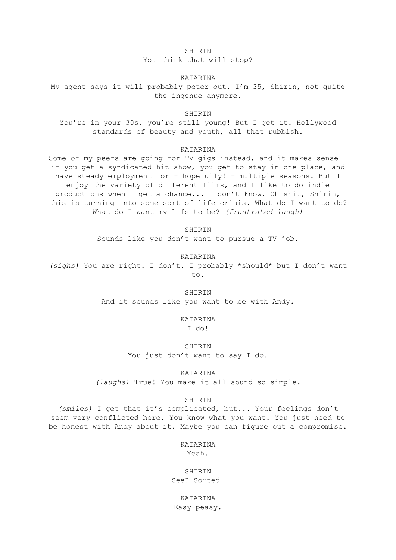#### SHIRIN

You think that will stop?

#### KATARINA

My agent says it will probably peter out. I'm 35, Shirin, not quite the ingenue anymore.

SHIRIN

You're in your 30s, you're still young! But I get it. Hollywood standards of beauty and youth, all that rubbish.

#### KATARINA

Some of my peers are going for TV gigs instead, and it makes sense – if you get a syndicated hit show, you get to stay in one place, and have steady employment for – hopefully! – multiple seasons. But I enjoy the variety of different films, and I like to do indie productions when I get a chance... I don't know. Oh shit, Shirin, this is turning into some sort of life crisis. What do I want to do? What do I want my life to be? *(frustrated laugh)*

SHIRIN

Sounds like you don't want to pursue a TV job.

KATARINA

*(sighs)* You are right. I don't. I probably \*should\* but I don't want to.

> SHIRIN And it sounds like you want to be with Andy.

> > KATARINA

I do!

SHIRIN

You just don't want to say I do.

KATARINA

*(laughs)* True! You make it all sound so simple.

#### **SHIRIN**

*(smiles)* I get that it's complicated, but... Your feelings don't seem very conflicted here. You know what you want. You just need to be honest with Andy about it. Maybe you can figure out a compromise.

## KATARINA

Yeah.

#### **SHIRIN** See? Sorted.

#### KATARINA Easy-peasy.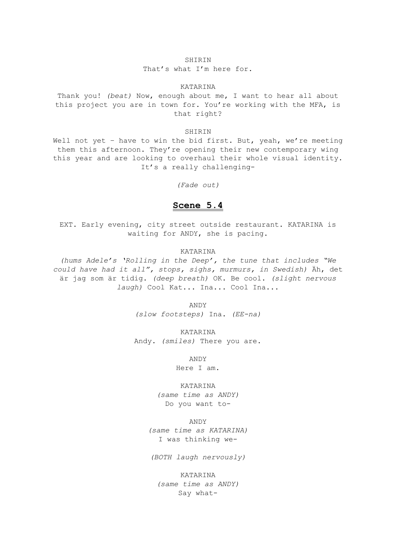#### SHIRIN

That's what I'm here for.

### KATARINA

Thank you! *(beat)* Now, enough about me, I want to hear all about this project you are in town for. You're working with the MFA, is that right?

#### SHIRIN

Well not yet - have to win the bid first. But, yeah, we're meeting them this afternoon. They're opening their new contemporary wing this year and are looking to overhaul their whole visual identity. It's a really challenging-

*(Fade out)*

#### **Scene 5.4**

EXT. Early evening, city street outside restaurant. KATARINA is waiting for ANDY, she is pacing.

#### KATARINA

*(hums Adele's 'Rolling in the Deep', the tune that includes "We could have had it all", stops, sighs, murmurs, in Swedish)* Äh, det är jag som är tidig. *(deep breath)* OK. Be cool. *(slight nervous laugh)* Cool Kat... Ina... Cool Ina...

> ANDY *(slow footsteps)* Ina. *(EE-na)*

KATARINA Andy. *(smiles)* There you are.

ANDY

Here I am.

#### KATARINA

*(same time as ANDY)* Do you want to-

ANDY

*(same time as KATARINA)* I was thinking we-

*(BOTH laugh nervously)*

KATARINA *(same time as ANDY)* Say what-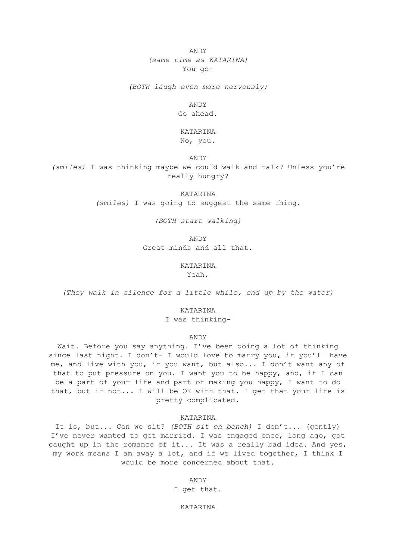ANDY *(same time as KATARINA)* You go-

*(BOTH laugh even more nervously)*

ANDY Go ahead.

KATARINA No, you.

ANDY

*(smiles)* I was thinking maybe we could walk and talk? Unless you're really hungry?

KATARINA

*(smiles)* I was going to suggest the same thing.

*(BOTH start walking)*

ANDY Great minds and all that.

KATARINA

Yeah.

*(They walk in silence for a little while, end up by the water)*

KATARINA

I was thinking-

ANDY

Wait. Before you say anything. I've been doing a lot of thinking since last night. I don't- I would love to marry you, if you'll have me, and live with you, if you want, but also... I don't want any of that to put pressure on you. I want you to be happy, and, if I can be a part of your life and part of making you happy, I want to do that, but if not... I will be OK with that. I get that your life is pretty complicated.

KATARINA

It is, but... Can we sit? *(BOTH sit on bench)* I don't... (gently) I've never wanted to get married. I was engaged once, long ago, got caught up in the romance of it... It was a really bad idea. And yes, my work means I am away a lot, and if we lived together, I think I would be more concerned about that.

ANDY

I get that.

KATARINA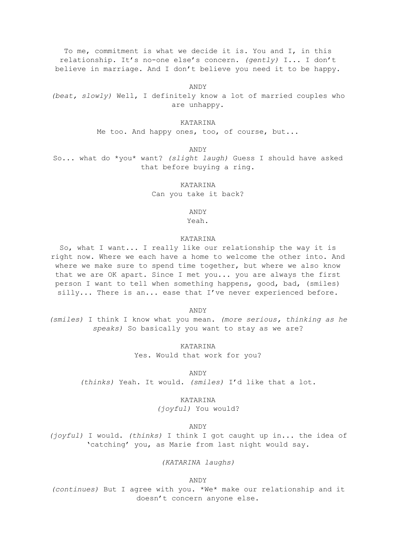To me, commitment is what we decide it is. You and I, in this relationship. It's no-one else's concern. *(gently)* I... I don't believe in marriage. And I don't believe you need it to be happy.

ANDY

*(beat, slowly)* Well, I definitely know a lot of married couples who are unhappy.

#### KATARINA

Me too. And happy ones, too, of course, but...

ANDY

So... what do \*you\* want? *(slight laugh)* Guess I should have asked that before buying a ring.

KATARINA

Can you take it back?

ANDY

Yeah.

#### KATARINA

So, what I want... I really like our relationship the way it is right now. Where we each have a home to welcome the other into. And where we make sure to spend time together, but where we also know that we are OK apart. Since I met you... you are always the first person I want to tell when something happens, good, bad, (smiles) silly... There is an... ease that I've never experienced before.

ANDY

*(smiles)* I think I know what you mean. *(more serious, thinking as he speaks)* So basically you want to stay as we are?

> KATARINA Yes. Would that work for you?

ANDY *(thinks)* Yeah. It would. *(smiles)* I'd like that a lot.

KATARINA

*(joyful)* You would?

ANDY

*(joyful)* I would. *(thinks)* I think I got caught up in... the idea of 'catching' you, as Marie from last night would say.

*(KATARINA laughs)*

ANDY

*(continues)* But I agree with you. \*We\* make our relationship and it doesn't concern anyone else.